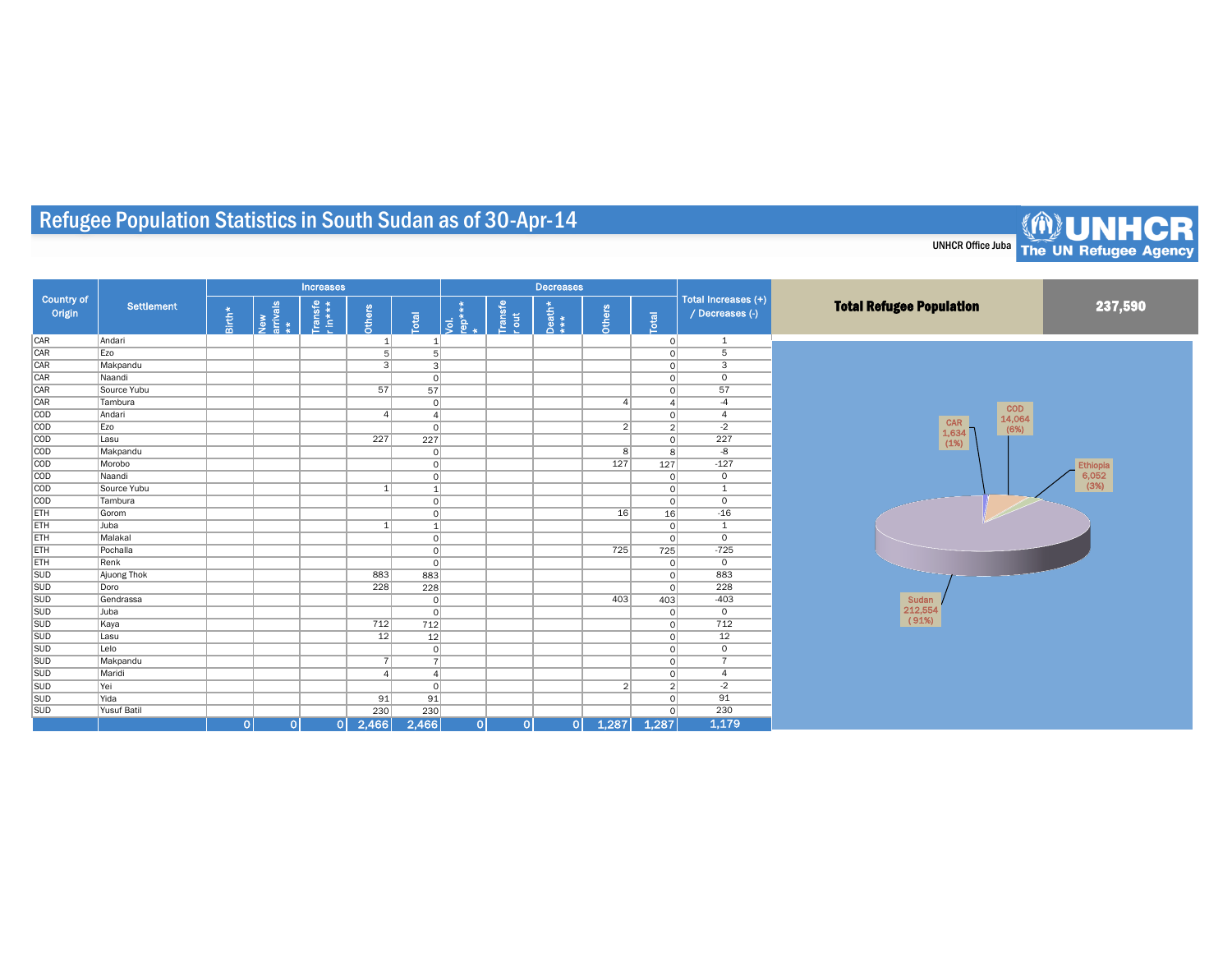## Refugee Population Statistics in South Sudan as of 30-Apr-14

| <b>Country of</b><br>Origin | Settlement         |          |                       | Increases          |                |                         |                           |                 | <b>Decreases</b> |                |                         |                                        |                                 |          |  |  |
|-----------------------------|--------------------|----------|-----------------------|--------------------|----------------|-------------------------|---------------------------|-----------------|------------------|----------------|-------------------------|----------------------------------------|---------------------------------|----------|--|--|
|                             |                    | $Birth*$ | New<br>arrivals<br>** | Transfe<br>r in*** | Others         | $\overline{\mathbf{g}}$ | $\overrightarrow{g}$<br>ê | Transfe<br>rout | $Death*$         | Others         | $\overline{\mathbf{g}}$ | Total Increases (+)<br>/ Decreases (-) | <b>Total Refugee Population</b> | 237,590  |  |  |
| CAR                         | Andari             |          |                       |                    | 1              |                         |                           |                 |                  |                | $\Omega$                | 1                                      |                                 |          |  |  |
| CAR                         | Ezo                |          |                       |                    | 5              | 5                       |                           |                 |                  |                | $\Omega$                | 5                                      |                                 |          |  |  |
| CAR                         | Makpandu           |          |                       |                    | $\lceil$       | 3 <sup>2</sup>          |                           |                 |                  |                | $\Omega$                | 3                                      |                                 |          |  |  |
| CAR                         | Naandi             |          |                       |                    |                | 0                       |                           |                 |                  |                | $\Omega$                | 0                                      |                                 |          |  |  |
| CAR                         | Source Yubu        |          |                       |                    | 57             | 57                      |                           |                 |                  |                | $\Omega$                | 57                                     |                                 |          |  |  |
| CAR                         | Tambura            |          |                       |                    |                | $\Omega$                |                           |                 |                  | Δ              |                         | $-4$                                   | <b>COD</b>                      |          |  |  |
| COD                         | Andari             |          |                       |                    | $\overline{4}$ | 4                       |                           |                 |                  |                | $\Omega$                | $\overline{4}$                         | 14,064                          |          |  |  |
| COD                         | Ezo                |          |                       |                    |                | $\Omega$                |                           |                 |                  | $\overline{2}$ | 2                       | $-2$                                   | CAR<br>(6%)<br>1,634            |          |  |  |
| COD                         | Lasu               |          |                       |                    | 227            | 227                     |                           |                 |                  |                | $\Omega$                | 227                                    | (1%)                            |          |  |  |
| COD                         | Makpandu           |          |                       |                    |                | 0                       |                           |                 |                  | 8 <sup>1</sup> | 8 <sup>1</sup>          | -8                                     |                                 |          |  |  |
| COD                         | Morobo             |          |                       |                    |                | 0                       |                           |                 |                  | 127            | 127                     | $-127$                                 |                                 | Ethiopia |  |  |
| COD                         | Naandi             |          |                       |                    |                | 0                       |                           |                 |                  |                | $\circ$                 | $\overline{0}$                         |                                 | 6,052    |  |  |
| COD                         | Source Yubu        |          |                       |                    | 1              | $\mathbf{1}$            |                           |                 |                  |                | $\circ$                 | 1                                      |                                 | (3%)     |  |  |
| COD                         | Tambura            |          |                       |                    |                | 0                       |                           |                 |                  |                | $\circ$                 | $\circ$                                |                                 |          |  |  |
| ETH                         | Gorom              |          |                       |                    |                | 0                       |                           |                 |                  | 16             | 16                      | $-16$                                  |                                 |          |  |  |
| ETH                         | Juba               |          |                       |                    | $\mathbf{1}$   | $\mathbf{1}$            |                           |                 |                  |                | $\circ$                 | $\mathbf{1}$                           |                                 |          |  |  |
| ETH                         | Malakal            |          |                       |                    |                | 0                       |                           |                 |                  |                | $\circ$                 | $\circ$                                |                                 |          |  |  |
| ETH                         | Pochalla           |          |                       |                    |                | 0                       |                           |                 |                  | 725            | 725                     | $-725$                                 |                                 |          |  |  |
| ETH                         | Renk               |          |                       |                    |                | 0                       |                           |                 |                  |                | $\Omega$                | $\circ$                                |                                 |          |  |  |
| <b>SUD</b>                  | Ajuong Thok        |          |                       |                    | 883            | 883                     |                           |                 |                  |                | $\circ$                 | 883                                    |                                 |          |  |  |
| <b>SUD</b>                  | Doro               |          |                       |                    | 228            | 228                     |                           |                 |                  |                | $\circ$                 | 228                                    |                                 |          |  |  |
| <b>SUD</b>                  | Gendrassa          |          |                       |                    |                | 0                       |                           |                 |                  | 403            | 403                     | $-403$                                 | Sudan                           |          |  |  |
| <b>SUD</b>                  | Juba               |          |                       |                    |                | 0                       |                           |                 |                  |                | $\circ$                 | $\circ$                                | 212,554                         |          |  |  |
| <b>SUD</b>                  | Kaya               |          |                       |                    | 712            | 712                     |                           |                 |                  |                | $\circ$                 | 712                                    | (91%)                           |          |  |  |
| <b>SUD</b>                  | Lasu               |          |                       |                    | 12             | 12                      |                           |                 |                  |                | $\circ$                 | 12                                     |                                 |          |  |  |
| <b>SUD</b>                  | Lelo               |          |                       |                    |                | $\Omega$                |                           |                 |                  |                | $\Omega$                | $\circ$                                |                                 |          |  |  |
| <b>SUD</b>                  | Makpandu           |          |                       |                    | $\overline{7}$ |                         |                           |                 |                  |                | $\Omega$                | $\overline{7}$                         |                                 |          |  |  |
| <b>SUD</b>                  | Maridi             |          |                       |                    | $\overline{4}$ | $\overline{A}$          |                           |                 |                  |                | $\Omega$                | $\overline{4}$                         |                                 |          |  |  |
| <b>SUD</b>                  | Yei                |          |                       |                    |                | 0                       |                           |                 |                  | 2 <sup>1</sup> | 2 <sup>1</sup>          | $-2$                                   |                                 |          |  |  |
| <b>SUD</b>                  | Yida               |          |                       |                    | 91             | 91                      |                           |                 |                  |                | $\circ$                 | 91                                     |                                 |          |  |  |
| <b>SUD</b>                  | <b>Yusuf Batil</b> |          |                       |                    | 230            | 230                     |                           |                 |                  |                | $\Omega$                | 230                                    |                                 |          |  |  |
|                             |                    | 0        | 0                     | $\circ$            | 2,466          | 2,466                   | 0                         | 0               | 0                | 1,287          | 1,287                   | 1,179                                  |                                 |          |  |  |

UNHCR Office Juba The UN Refugee Agency